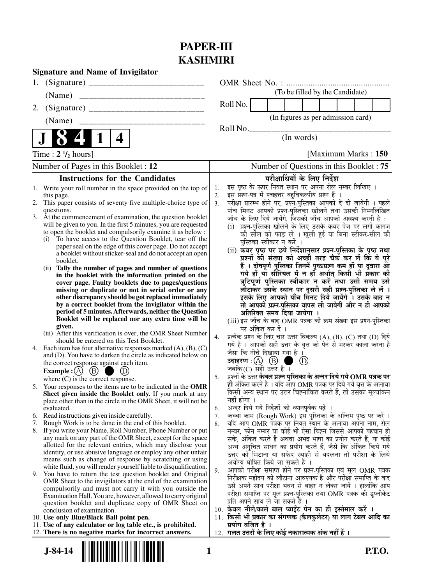## **PAPER-III KASHMIRI**

| <b>Signature and Name of Invigilator</b>                                                                                    |                                                                                                                                                  |
|-----------------------------------------------------------------------------------------------------------------------------|--------------------------------------------------------------------------------------------------------------------------------------------------|
| 1.                                                                                                                          |                                                                                                                                                  |
| (Name)                                                                                                                      | (To be filled by the Candidate)                                                                                                                  |
| 2.                                                                                                                          | Roll No.                                                                                                                                         |
| (Name)                                                                                                                      | (In figures as per admission card)                                                                                                               |
|                                                                                                                             | RollNo.                                                                                                                                          |
| 4                                                                                                                           | (In words)                                                                                                                                       |
| Time : $2 \frac{1}{2}$ hours]                                                                                               | [Maximum Marks: 150]                                                                                                                             |
| Number of Pages in this Booklet : 12                                                                                        | Number of Questions in this Booklet: 75                                                                                                          |
| <b>Instructions for the Candidates</b>                                                                                      | परीक्षार्थियों के लिए निर्देश                                                                                                                    |
| 1. Write your roll number in the space provided on the top of                                                               | इस पृष्ठ के ऊपर नियत स्थान पर अपना रोल नम्बर लिखिए ।<br>1.                                                                                       |
| this page.                                                                                                                  | इस प्रश्न-पत्र में पचहत्तर बहुविकल्पीय प्रश्न हैं ।<br>$\mathbf{2}$ .                                                                            |
| 2. This paper consists of seventy five multiple-choice type of<br>questions.                                                | परीक्षा प्रारम्भ होने पर, प्रश्न-पुस्तिका आपको दे दी जायेगी । पहले<br>3 <sub>1</sub><br>पाँच मिनट आपको प्रश्न-पुस्तिका खोलने तथा उसकी निम्नलिखित |
| 3. At the commencement of examination, the question booklet                                                                 | जाँच के लिए दिये जायेंगे, जिसकी जाँच आपको अवश्य करनी है :                                                                                        |
| will be given to you. In the first 5 minutes, you are requested                                                             | (i) प्रश्न-पुस्तिका खोलने के लिए उसके कवर पेज पर लगी कागज                                                                                        |
| to open the booklet and compulsorily examine it as below :                                                                  | की सील को फाड़ लें । खुली हुई या बिना स्टीकर-सील की                                                                                              |
| To have access to the Question Booklet, tear off the<br>(i)                                                                 | पुस्तिका स्वीकार न करें ।                                                                                                                        |
| paper seal on the edge of this cover page. Do not accept<br>a booklet without sticker-seal and do not accept an open        | (ii) कवर पृष्ठ पर छपे निर्देशानुसार प्रश्न-पुस्तिका के पृष्ठ तथा                                                                                 |
| booklet.                                                                                                                    | प्रश्नों की संख्या को अच्छी तरह चैक कर लें कि ये पूरे                                                                                            |
| Tally the number of pages and number of questions<br>(i)                                                                    | हैं । दोषपूर्ण पुस्तिका जिनमें पृष्ठ/प्रश्न कम हों या दुबारा आ                                                                                   |
| in the booklet with the information printed on the                                                                          | गये हों या सीरियल में न हों अर्थात् किसी भी प्रकार की<br>त्रुटिपूर्ण पुस्तिका स्वीकार न करें तथा उसी समय उसे                                     |
| cover page. Faulty booklets due to pages/questions<br>missing or duplicate or not in serial order or any                    |                                                                                                                                                  |
| other discrepancy should be got replaced immediately                                                                        | लौटाकर उसके स्थान पर दूसरी सही प्रश्न-पुस्तिका ले लें ।<br>इसके लिए आपको पाँच मिनट दिये जायेंगे । उसके बाद न                                     |
| by a correct booklet from the invigilator within the                                                                        | तो आपकी प्रश्न-पुस्तिका वापस ली जायेगी और न ही आपको                                                                                              |
| period of 5 minutes. Afterwards, neither the Question                                                                       | अतिरिक्त समय दिया जायेगा ।                                                                                                                       |
| Booklet will be replaced nor any extra time will be                                                                         | (iii) इस जाँच के बाद OMR पत्रक की क्रम संख्या इस प्रश्न-पुस्तिका                                                                                 |
| given.<br>(iii) After this verification is over, the OMR Sheet Number                                                       | पर अंकित कर दें ।                                                                                                                                |
| should be entered on this Test Booklet.                                                                                     | प्रत्येक प्रश्न के लिए चार उत्तर विकल्प (A), (B), (C) तथा (D) दिये<br>4.                                                                         |
| 4. Each item has four alternative responses marked $(A)$ , $(B)$ , $(C)$                                                    | गये हैं । आपको सही उत्तर के वृत्त को पेन से भरकर काला करना है                                                                                    |
| and (D). You have to darken the circle as indicated below on                                                                | जैसा कि नीचे दिखाया गया है।                                                                                                                      |
| the correct response against each item.                                                                                     | $\circled{D}$<br>a de<br>जबकि $(C)$ सही उत्तर है।                                                                                                |
| Example : $(A)$ $(B)$<br>(D)                                                                                                | प्रश्नों के उत्तर केवल प्रश्न पुस्तिका के अन्दर दिये गये OMR पत्रक पर<br>5.                                                                      |
| where $(C)$ is the correct response.                                                                                        | ही अंकित करने हैं । यदि आप OMR पत्रक पर दिये गये वृत्त के अलावा                                                                                  |
| 5. Your responses to the items are to be indicated in the OMR<br>Sheet given inside the Booklet only. If you mark at any    | किसी अन्य स्थान पर उत्तर चिह्नांकित करते हैं, तो उसका मूल्यांकन                                                                                  |
| place other than in the circle in the OMR Sheet, it will not be                                                             | नहीं होगा ।                                                                                                                                      |
| evaluated.                                                                                                                  | अन्दर दिये गये निर्देशों को ध्यानपूर्वक पढ़ें ।<br>6.                                                                                            |
| 6. Read instructions given inside carefully.                                                                                | कच्चा काम (Rough Work) इस पुरितका के अन्तिम पृष्ठ पर करें ।<br>7.                                                                                |
| 7.<br>Rough Work is to be done in the end of this booklet.                                                                  | यदि आप OMR पत्रक पर नियत स्थान के अलावा अपना नाम, रोल<br>8.                                                                                      |
| 8. If you write your Name, Roll Number, Phone Number or put<br>any mark on any part of the OMR Sheet, except for the space  | नम्बर, फोन नम्बर या कोई भी ऐसा चिह्न जिससे आपकी पहचान हो                                                                                         |
| allotted for the relevant entries, which may disclose your                                                                  | सके, अंकित करते हैं अथवा अभद्र भाषा का प्रयोग करते हैं, या कोई<br>अन्य अनुचित साधन का प्रयोग करते हैं, जैसे कि अंकित किये गये                    |
| identity, or use abusive language or employ any other unfair                                                                | उत्तर को मिटाना या सफेद स्याही से बदलना तो परीक्षा के लिये                                                                                       |
| means such as change of response by scratching or using                                                                     | अयोग्य घोषित किये जा सकते हैं ।                                                                                                                  |
| white fluid, you will render yourself liable to disqualification.                                                           | आपको परीक्षा समाप्त होने पर प्रश्न-पुस्तिका एवं मूल OMR पत्रक<br>9.                                                                              |
| 9. You have to return the test question booklet and Original<br>OMR Sheet to the invigilators at the end of the examination | निरीक्षक महोदय को लौटाना आवश्यक है और परीक्षा समाप्ति के बाद                                                                                     |
| compulsorily and must not carry it with you outside the                                                                     | उसे अपने साथ परीक्षा भवन से बाहर न लेकर जायें । हालांकि आप                                                                                       |
| Examination Hall. You are, however, allowed to carry original                                                               | परीक्षा समाप्ति पर मूल प्रश्न-पुस्तिका तथा OMR पत्रक की डुप्लीकेट                                                                                |
| question booklet and duplicate copy of OMR Sheet on                                                                         | प्रति अपने साथ ले जा सकते हैं ।                                                                                                                  |
| conclusion of examination.                                                                                                  | 10. केवल नीले/काले बाल प्वाईंट पेन का ही इस्तेमाल करें ।                                                                                         |
| 10. Use only Blue/Black Ball point pen.<br>11. Use of any calculator or log table etc., is prohibited.                      | 11. किसी भी प्रकार का संगणक (कैलकुलेटर) या लाग टेबल आदि का<br>प्रयोग वर्जित है ।                                                                 |
| 12. There is no negative marks for incorrect answers.                                                                       | गलत उत्तरों के लिए कोई नकारात्मक अंक नहीं हैं ।<br>12.                                                                                           |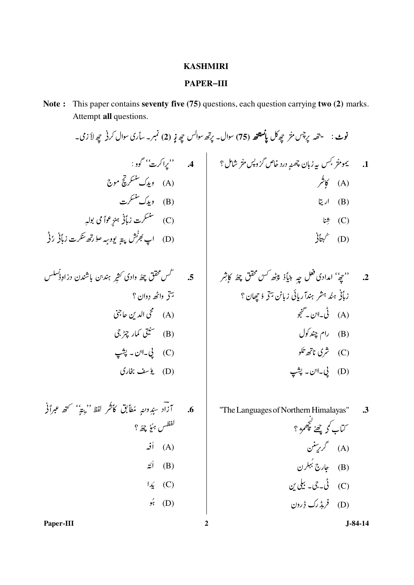## **KASHMIRI**

## **PAPER-III**

Note: This paper contains seventy five (75) questions, each question carrying two (2) marks. Attempt all questions.

2.  
3. 
$$
{}^{6}z_{7}^{3}
$$
  ل*داد*ئ قول چې دیاً د پاڻ  *پچٰه کس گق*ق  چهان ؛  
زباُر  *م*ن*د  ہتش ہندا ت*ان گنچو  
(A)  
ت<sup>ا</sup>ت  *ا ا ن ا ا ا چن*ر*و*ل  
 *( 1 3 ت ئ و*  
 *( 1 3 ت ئ ا 3*

"The Languages of Northern Himalayas"  $\cdot$ 3 ۔<br>کتاب کو چھٹے کچھمڑ ؟ (A) گرریتنن<br>(B) جارج بُہکرن (C) ٿُ۔جي۔ بيلي ين (D) فرېڈرک ڈِرون

6. 17.5 (11.44) 
$$
z^{2}
$$
 = 6  
\n $z^{2}$  = 6  
\n(d)  $iz^{2}$  = 6  
\n(e)  $iz^{2}$  = 6  
\n(f)  $iz^{2}$  = 6  
\n(g)  $iz^{2}$  = 6  
\n(g)  $iz^{2}$  = 6  
\n(g)  $iz^{2}$  = 6  
\n(g)  $iz^{2}$  = 6  
\n(h)  $iz^{2}$  = 6  
\n(i)  $iz^{2}$  = 6  
\n(j)  $iz^{2}$  = 6  
\n(k)  $iz^{2}$  = 6  
\n(l)  $iz^{2}$  = 6  
\n(m)  $iz^{2}$  = 6  
\n(l)  $iz^{2}$  = 6  
\n(m)  $iz^{2}$  = 6  
\n(l)  $iz^{2}$  = 6  
\n(m)  $iz^{2}$  = 6  
\n(l)  $iz^{2}$  = 6  
\n(m)  $iz^{2}$  = 6  
\n(l)  $iz^{2}$  = 6  
\n(m)  $iz^{2}$  = 6  
\n(l)  $iz^{2}$  = 6  
\n(m)  $iz^{2}$  = 6  
\n(l)  $iz^{2}$  = 6  
\n(m)  $iz^{2}$  = 6  
\n(m)  $iz^{2}$  = 6  
\n(n)  $iz^{2}$  = 6  
\n(n)  $iz^{2}$  = 6  
\n(n)  $iz^{2}$  = 6  
\n(n)  $iz^{2}$  = 6  
\n(n)  $iz^{2}$  = 6  
\n(n)  $iz^{2}$  = 6  
\n(n)  $iz^{2}$  = 6  
\n(n)  $iz^{2}$  = 6  
\n(n)  $iz^{2}$  = 6  
\n(n)  $iz^{2}$  = 6  
\n(n)  $iz^{2}$  = 6  
\n(n)  $iz^{2}$  = 6  
\n(n)  $iz^{2}$  = 6  
\n(n)  $iz^{2}$  = 6  
\n(n)  $iz^{2}$  = 6  
\n(n)  $iz^{2}$  = 6  
\n(n)  $iz^{$ 

 $J-84-14$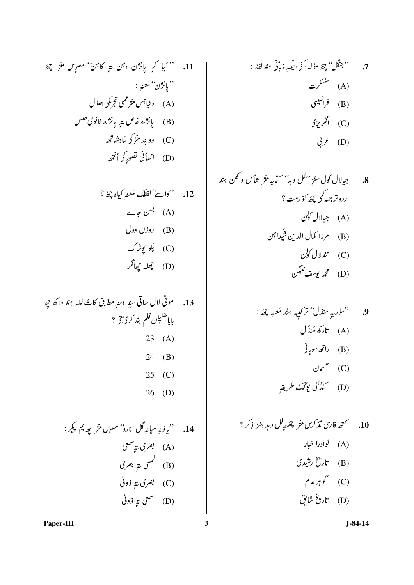12. *''داتُ' لفظَا مَحنٍ کیاہ پھئ* ؟  
(A) *بس* جاے  
(B) *روزن* وول  
(C) 
$$
پلو پویثاک  
(D)
$$

13. موتى لال ساقى سبِدِ ومعهِ مطابق كاتُ للهِ ہند واكھ جِھِ بابا<sup>خلىل</sup>ىن قلم بند كردمت<del>ر</del> ؟ 23 (A) 24 (B) 25 (C) 26 (D)

 $J-84-14$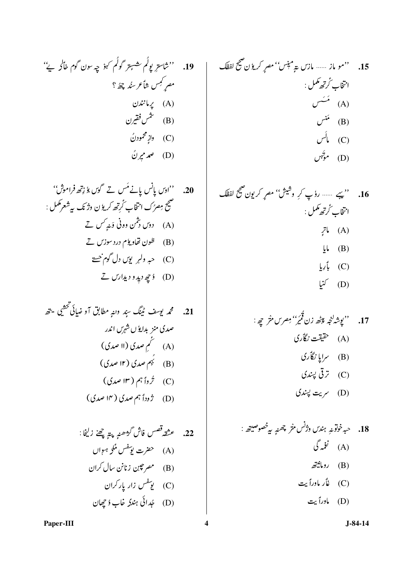19. 
$$
{}^{64}C
$$
 (i)  ${}^{65}C$  (j)  ${}^{66}C$  (k)  ${}^{65}C$  (l)  ${}^{65}C$  (m)  ${}^{66}C$  (n)  ${}^{65}C$  (o)  ${}^{66}C$  (l)  ${}^{67}C$  (l)  ${}^{68}C$  (l)  ${}^{68}C$  (l)  ${}^{69}C$  (l)  ${}^{61}C$  (l)  ${}^{61}C$  (l)  ${}^{61}C$  (l)  ${}^{61}C$  (l)  ${}^{61}C$  (l)  ${}^{61}C$  (l)  ${}^{61}C$  (l)  ${}^{61}C$  (l)  ${}^{61}C$  (l)  ${}^{61}C$  (l)  ${}^{61}C$  (l)  ${}^{61}C$  (l)  ${}^{61}C$  (l)  ${}^{61}C$  (l)  ${}^{61}C$  (l)  ${}^{61}C$  (l)  ${}^{61}C$  (l)  ${}^{61}C$  (l)  ${}^{61}C$  (l)  ${}^{61}C$  (l)  ${}^{61}C$  (l)  ${}^{61}C$  (l)  ${}^{61}C$  (l)  ${}^{61}C$  (l)  ${}^{61}C$  (l)  ${}^{61}C$  (l)  ${}^{61}C$  (l)  ${}^{61}C$  (l)  ${}^{61}C$  (l)  ${}^{61}C$  (l)  ${}^{61}C$  (l)  ${}^{61}C$  (l)  ${}^{61}C$  (l)  ${}^{61}C$  (l)  ${}^{61}C$  (l)  ${}^{61}C$  (l)  ${}^{61}C$  (l)  ${}^{61}C$  (l)  ${}^{61}C$ 

21. 
$$
\hat{\mathcal{E}}
$$
  $\hat{\mathcal{E}}$   $\hat{\mathcal{E}}$   $\hat{\mathcal{E}}$   $\hat{\mathcal{E}}$   $\hat{\mathcal{E}}$   $\hat{\mathcal{E}}$   $\hat{\mathcal{E}}$   $\hat{\mathcal{E}}$   $\hat{\mathcal{E}}$   $\hat{\mathcal{E}}$   $\hat{\mathcal{E}}$   $\hat{\mathcal{E}}$   $\hat{\mathcal{E}}$   $\hat{\mathcal{E}}$   $\hat{\mathcal{E}}$   $\hat{\mathcal{E}}$   $\hat{\mathcal{E}}$   $\hat{\mathcal{E}}$   $\hat{\mathcal{E}}$   $\hat{\mathcal{E}}$   $\hat{\mathcal{E}}$   $\hat{\mathcal{E}}$   $\hat{\mathcal{E}}$   $\hat{\mathcal{E}}$   $\hat{\mathcal{E}}$   $\hat{\mathcal{E}}$   $\hat{\mathcal{E}}$   $\hat{\mathcal{E}}$   $\hat{\mathcal{E}}$   $\hat{\mathcal{E}}$   $\hat{\mathcal{E}}$   $\hat{\mathcal{E}}$   $\hat{\mathcal{E}}$   $\hat{\mathcal{E}}$   $\hat{\mathcal{E}}$   $\hat{\mathcal{E}}$   $\hat{\mathcal{E}}$   $\hat{\mathcal{E}}$   $\hat{\mathcal{E}}$   $\hat{\mathcal{E}}$   $\hat{\mathcal{E}}$   $\hat{\mathcal{E}}$   $\hat{\mathcal{E}}$   $\hat{\mathcal{E}}$   $\hat{\mathcal{E}}$   $\hat{\mathcal{E}}$   $\hat{\mathcal{E}}$   $\hat{\mathcal{E}}$   $\hat{\mathcal{E}}$   $\hat{\mathcal{E$ 

(D) ماوراً بیت

 $J-84-14$ 

Paper-III

 $\overline{\mathbf{4}}$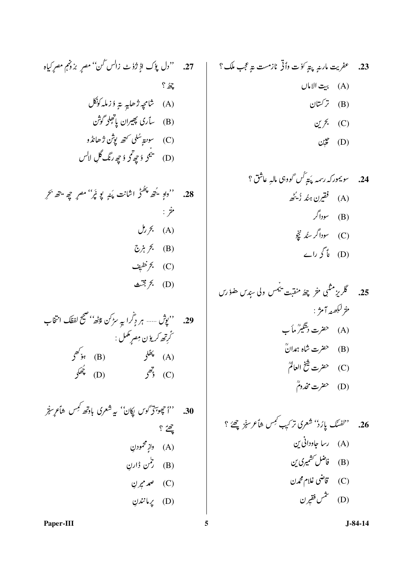$$
\begin{array}{cc}\n\ddots & \ddots & \ddots \\
\mathbf{A} & \mathbf{B} & \mathbf{B} \\
\mathbf{B} & \mathbf{B} & \mathbf{B} \\
\mathbf{A} & \mathbf{B} & \mathbf{B} \\
\mathbf{B} & \mathbf{B} & \mathbf{B} \\
\mathbf{B} & \mathbf{B} & \mathbf{B} \\
\mathbf{B} & \mathbf{B} & \mathbf{B} \\
\mathbf{B} & \mathbf{B} & \mathbf{B} \\
\mathbf{B} & \mathbf{B} & \mathbf{B} \\
\mathbf{B} & \mathbf{B} & \mathbf{B} \\
\mathbf{B} & \mathbf{B} & \mathbf{B} \\
\mathbf{C} & \mathbf{B} & \mathbf{B} \\
\mathbf{A} & \mathbf{B} & \mathbf{B} & \mathbf{B} \\
\mathbf{A} & \mathbf{B} & \mathbf{B} & \mathbf{B} \\
\mathbf{A} & \mathbf{B} & \mathbf{B} & \mathbf{B} \\
\mathbf{A} & \mathbf{B} & \mathbf{B} & \mathbf{B} \\
\mathbf{A} & \mathbf{B} & \mathbf{B} & \mathbf{B} \\
\mathbf{A} & \mathbf{B} & \mathbf{B} & \mathbf{B} \\
\mathbf{A} & \mathbf{B} & \mathbf{B} & \mathbf{B} \\
\mathbf{A} & \mathbf{B} & \mathbf{B} & \mathbf{B} \\
\mathbf{A} & \mathbf{B} & \mathbf{B} & \mathbf{B} \\
\mathbf{A} & \mathbf{B} & \mathbf{B} & \mathbf{B} \\
\mathbf{A} & \mathbf{B} & \mathbf{B} & \mathbf{B} \\
\mathbf{A} & \mathbf{B} & \mathbf{B} & \mathbf{B} \\
\mathbf{A} & \mathbf{B} & \mathbf{B} & \mathbf{B} \\
\mathbf{A} & \mathbf{B} & \mathbf{B} & \mathbf{B} \\
\mathbf{A} & \mathbf{B} & \mathbf{B} & \mathbf{B} \\
\mathbf{A} & \mathbf{B} & \mathbf{B} & \mathbf{B} \\
\mathbf{A} & \mathbf{B} & \mathbf{B} & \mathbf{B} \\
\mathbf{A} & \mathbf{B} & \mathbf{B} & \mathbf{B} \\
\mathbf{A
$$

29. 
$$
{}^{64}\frac{1}{2}
$$
°  
\n29.  ${}^{65}\frac{1}{2}$ °  
\n7.  ${}^{66}\frac{1}{2}$ °  
\n8.  ${}^{67}\frac{1}{2}$ °  
\n9.  ${}^{68}\frac{1}{2}$ °  
\n10.  ${}^{68}\frac{1}{2}$ °  
\n21.  ${}^{68}\frac{1}{2}$ °  
\n32.  ${}^{68}\frac{1}{2}$ °  
\n43.  ${}^{68}\frac{1}{2}$ °  
\n44.  ${}^{68}\frac{1}{2}$ °  
\n45.  ${}^{68}\frac{1}{2}$ °  
\n46.  ${}^{68}\frac{1}{2}$ °  
\n47.  ${}^{68}\frac{1}{2}$ °  
\n48.  ${}^{68}\frac{1}{2}$ °  
\n49.  ${}^{68}\frac{1}{2}$ °  
\n40.  ${}^{68}\frac{1}{2}$ °  
\n41.  ${}^{68}\frac{1}{2}$ °  
\n42.  ${}^{68}\frac{1}{2}$ °  
\n43.  ${}^{68}\frac{1}{2}$ °  
\n44.  ${}^{68}\frac{1}{2}$ °  
\n45.  ${}^{68}\frac{1}{2}$ °  
\n46.  ${}^{68}\frac{1}{2}$ °  
\n47.  ${}^{68}\frac{1}{2}$ °  
\n48.  ${}^{68}\frac{1}{2}$ °  
\n49.  ${}^{68}\frac{1}{2}$ °  
\n40.  ${}^{68}\frac{1}{2}$ °  
\n41.  ${}^{68}\frac{1}{2}$ °  
\n42.  ${}^{68}\frac{1}{2}$ °  
\n45.  ${}^{69}\frac{1}{2}$ °  
\n46.  ${}^{69}\frac{1}{2}$ °  
\n47.  ${}^{69}\frac{1}{2}$ °  
\n48.  ${}^{69}\frac{1}{2}$ °  
\n

30. 
$$
{}^{12}
$$
 39.  ${}^{13}$  30.  ${}^{14}$  34.  ${}^{15}$  45.  ${}^{16}$  46.  ${}^{16}$  47.  ${}^{17}$  48.  ${}^{18}$  49.  ${}^{18}$  40.  ${}^{17}$  41.  ${}^{18}$  45.  ${}^{18}$  47.  ${}^{18}$  48.  ${}^{18}$  49.  ${}^{18}$  40.  ${}^{18}$  41.  ${}^{18}$  45.  ${}^{18}$  47.  ${}^{18}$  48.  ${}^{18}$  49.  ${}^{18}$  40.  ${}^{18}$  41.  ${}^{18}$  45.  ${}^{18}$  47.  ${}^{18}$  48.  ${}^{18}$  49.  ${}^{18}$  41.  ${}^{18}$  45.  ${}^{18}$  47.  ${}^{18}$  48.  ${}^{18}$  49.  ${}^{18}$  41.  ${}^{18}$  45.  ${}^{18}$  47.  ${}^{18}$  48.  ${}^{18}$  49.  ${}^{18}$  40.  ${}^{18}$  41.  ${}^{18}$  43.  ${}^{18}$ 

$$
\mathcal{C}^{\mathcal{L}}_{\mathcal{V}}(D)
$$

Paper-III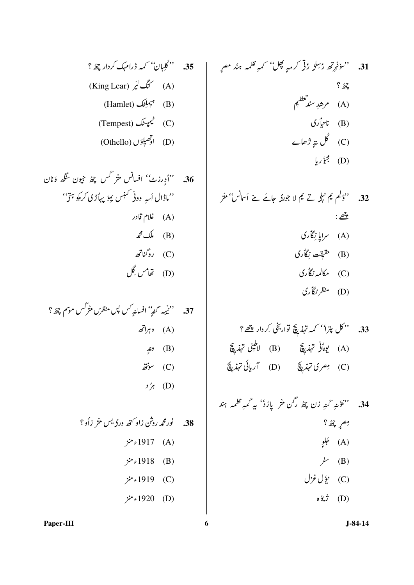31. 
$$
{}^{64}C_6
$$
 (14.  ${}^{64}C_7$  (24.  ${}^{64}C_7$  (35).  ${}^{64}C_7$  (4.  ${}^{64}C_7$  (5.  ${}^{64}C_7$  (6.  ${}^{64}C_7$  (7.  ${}^{64}C_7$  (8.  ${}^{64}C_7$  (9.  ${}^{64}C_7$  (19.  ${}^{64}C_7$  (19.  ${}^{64}C_7$  (19.  ${}^{64}C_7$  (19.  ${}^{64}C_7$  (19.  ${}^{64}C_7$  (19.  ${}^{64}C_7$  (19.  ${}^{64}C_7$  (19.  ${}^{64}C_7$  (19.  ${}^{64}C_7$  (19.  ${}^{64}C_7$  (19.  ${}^{64}C_7$  (19.  ${}^{64}C_7$  (19.  ${}^{64}C_7$  (19.  ${}^{64}C_7$  (19.  ${}^{64}C_7$  (19.  ${}^{64}C_7$  (19.  ${}^{64}C_7$  (19.  ${}^{64}C_7$  (19.  ${}^{64}C_7$  (19.  ${}^{64}C_7$  (19.  ${}^{64}C_7$  (19.  ${}^{64}C_7$  (19.  ${}^{64}C_7$  (19.  ${}^{64}C_7$  (19.  ${}^{64}C_7$  (19.  ${}^{64}C_7$  (19.  ${}^{64}C_7$  (19.  ${}^{64}C_7$  (19.  ${}^{64}C_7$  (19.  ${}^{64}C_7$  (19.  ${}^{64}C_7$  (19.  ${}^{64}C_7$  (19.  ${}^{64}C_7$ 

32. ''ڈیلم <sup>م</sup>ِ عمیلی تے <sup>م</sup>ِم لا جورکہ جائے نے اَسانس'' مثر  $\mathcal{E}$  :  $\mathcal{E}$  :

- (A) سراپا نِگاُری
- (B) هَيقت نِگأري
- (C) مکالمہ نگاری
- (D) منظر نگأري
- 33. ''كل پترا'' كمه تہذيقج تواريخی <sub>كر</sub>دار چھے؟ (A) يونَازْ تهذيقَ (B) لاطينى تهذيقَ (C) مِصرى تَهَدِيَّةَ (D) آريائى تَهْدِيَّةَ
- .<br>34. ''`` وَمْهِ كَنْهِ زن چْھُ رگن مثر پاِرُدْ' بير كَمْهِ نظمه ہند مصمر چھُ ؟ (A) جَلِوٍ  $\dot{\rho}$  (B) (C) يؤل غزل  $\partial \ddot{\mathbf{u}}$  $\ddot{\mathbf{v}}$  (D)

35. 
$$
{}^{i}\frac{\partial}{\partial x}
$$
  ${}^{j}C$  (king Lear)  ${}^{j}C$  (A)  
\n(King Lear)  ${}^{j}C$  (A)  
\n(Hamlet)  ${}^{j}C$  (B)  
\n(Tempest)  ${}^{j}C$  (C)  
\n(C)  ${}^{j}C$  (C)

37. 
$$
{}^{6}{}^{6}{}_{29}
$$
 (A)  
\n(A)  ${}^{6}{}_{5}^{}{}_{6}^{}$  (B)  
\n(C)  ${}^{6}{}_{5}^{}{}_{6}^{}$  (C)  
\n ${}^{6}{}_{7}^{}{}_{6}^{}$  (D)  
\n ${}^{6}{}_{7}^{}{}_{6}^{}$  (E)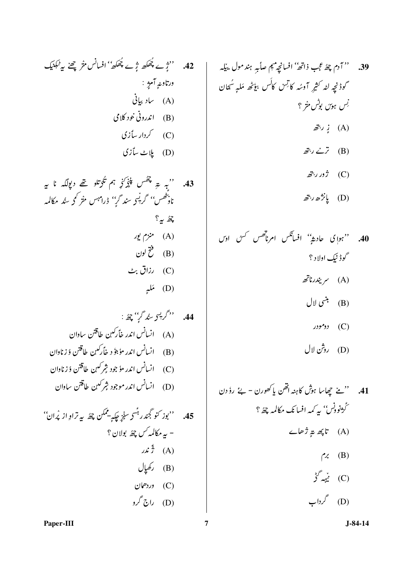39. 
$$
\frac{39}{42}
$$
 (i)  $-\frac{3}{4}$  (j)  $-\frac{3}{4}$  (k)  $-\frac{3}{4}$  (l)  $-\frac{3}{4}$  (m)  $-\frac{1}{2}$  (n)  $-\frac{1}{2}$  (o)  $-\frac{1}{2}$  (o)  $-\frac{1}{2}$  (l)  $-\frac{1}{2}$  (m)  $-\frac{1}{2}$  (n)  $-\frac{1}{2}$  (o)  $-\frac{1}{2}$  (o)  $-\frac{1}{2}$  (l)  $-\frac{1}{2}$  (m)  $-\frac{1}{2}$  (o)  $-\frac{1}{2}$  (n)  $-\frac{1}{2}$  (o)  $-\frac{1}{2}$  (l)  $-\frac{1}{2}$  (m)  $-\frac{1}{2}$  (o)  $-\frac{1}{2}$  (n)  $-\frac{1}{2}$  (o)  $-\frac{1}{2}$  (l)  $-\frac{1}{2}$  (m)  $-\frac{1}{2}$  (o)  $-\frac{1}{2}$  (n)  $-\frac{1}{2}$  (o)  $-\frac{1}{2}$  (l)  $-\frac{1}{2}$  (m)  $-\frac{1}{2}$  (o)  $-\frac{1}{2}$  (n)  $-\frac{1}{2}$  (o)  $-\frac{1}{2}$  (l)  $-\frac{1}{2}$  (m)  $-\frac{1}{2}$  (o)  $-\frac{1}{2}$  (n)  $-\frac{1}{2}$  (o)  $-\frac{1}{2}$  (o)  $-\frac{1}{2}$  (l)  $-\frac{1}{2}$  (m)  $-\frac{1}{2}$  (o)  $-\frac{1}{2}$  (o)  $-\frac{1}{2}$  (l)  $-\frac{1}{2}$  (m)  $-\frac{1}{2}$  (o)  $-\frac{1}{2}$  (n)  $-\frac{1}{2}$  (o)  $-\frac{1}{2}$  (l)  $-\frac{1}{2}$  (m)  $-\frac{1}{2}$ 

- 40. ''ہوا کی حادیثہ'' افسانگس امرناتھس <sup>کس</sup>ٹ او*ں* گوڈنیک اولاد ؟ (A) سمر بندرناتھ (B) بنسي لال  $\mathfrak{O}$  (C)
	- (D) روثن لال

41. 
$$
{}^{\prime\prime}
$$
  ${}^{\prime\prime}$   ${}^{\prime\prime}$   ${}^{\prime\prime}$   ${}^{\prime\prime}$   ${}^{\prime\prime}$   ${}^{\prime\prime}$   ${}^{\prime\prime}$   ${}^{\prime\prime}$   ${}^{\prime\prime}$   ${}^{\prime\prime}$   ${}^{\prime\prime}$   ${}^{\prime\prime}$   ${}^{\prime\prime}$   ${}^{\prime\prime}$   ${}^{\prime\prime}$   ${}^{\prime\prime}$   ${}^{\prime\prime}$   ${}^{\prime\prime}$   ${}^{\prime\prime}$   ${}^{\prime\prime}$   ${}^{\prime\prime}$   ${}^{\prime\prime}$   ${}^{\prime\prime}$   ${}^{\prime\prime}$   ${}^{\prime\prime}$   ${}^{\prime\prime}$   ${}^{\prime\prime}$   ${}^{\prime\prime}$   ${}^{\prime\prime}$   ${}^{\prime\prime}$   ${}^{\prime\prime}$   ${}^{\prime\prime}$   ${}^{\prime\prime}$   ${}^{\prime\prime}$   ${}^{\prime\prime}$   ${}^{\prime\prime}$   ${}^{\prime\prime}$   ${}^{\prime\prime}$   ${}^{\prime\prime}$   ${}^{\prime\prime}$   ${}^{\prime\prime}$   ${}^{\prime\prime}$   ${}^{\prime\prime}$   ${}^{\prime\prime}$   ${}^{\prime\prime}$   ${}^{\prime\prime}$   ${}^{\prime\prime}$   ${}^{\prime\prime}$   ${}^{\prime\prime}$   ${}^{\prime\prime}$   ${}^{\prime\prime}$   ${}^{\prime\prime}$   ${}^{\prime\prime}$   ${}^{\prime\prime}$   ${}^{\prime\prime}$   ${}^{\prime\prime}$   ${}^{\prime\prime}$   ${}^{\prime\prime}$   ${}^{\prime\prime}$   ${}^{\prime\prime}$   ${}^{\prime\prime}$   ${}^{\prime\prime}$   ${}^{\$ 

 $\overline{7}$ 

 $.45$ 

''بوز کنو گجند ر<sup>ہمّ</sup>س<sub>ک</sub> سن<sub>ُز</sub> چکیے۔ممکن چھُ بیہ تراوِ از پُران'' - به مکالمه *کس چھ*ٔ بولان ؟

> ردهان  $(C)$ (D) راج گرو

 $\mu$ <sup>2</sup> (A)

(B) رکھیال

 $?$  and  $\mathbb{Z}$ 

 $\mathcal{A}$  منزم پور  $(A)$ 

(B) فتح لون

رزاق بٹ $( C )$ 

(D) مَلْيَ

Paper-III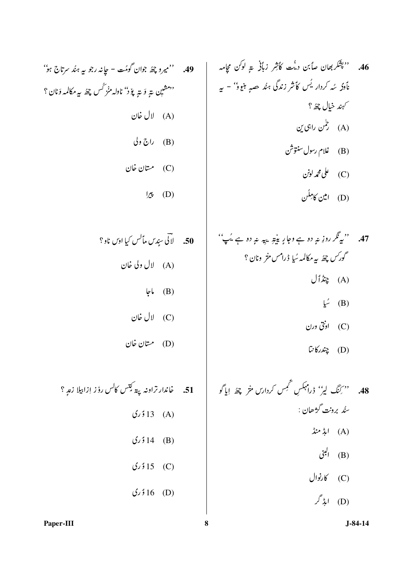$J-84-14$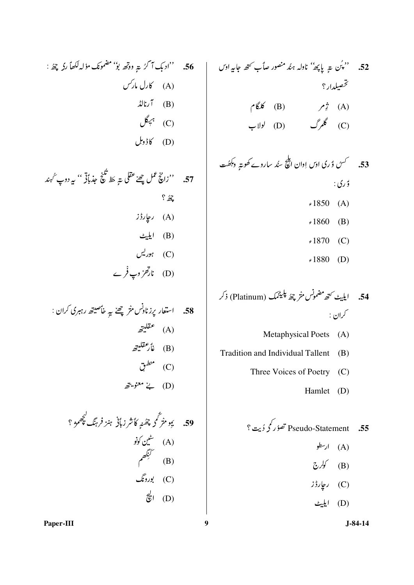56. ''ادبک آگرُ پتر ووتھ بوٗ' مضمونک مؤلہ لکھاً رکہ چھُ : (A) کارل مار*کس*  $\mathcal{L}(\mathbf{B})$  آرنالڈ  $\mathcal{P}(\mathcal{C})$ (D) كاۋوىل

57. ''زانچُ عمل چِھےٰ عقلی ؾہِ حَظ تَکْنِجِ حِذباًنِ ٗ '' بیر دوپ ُ مہند  $\frac{1}{2}$ (A) ر**ی**ارڈز (B) ایلیٹ (C) ہور<sup>لیں</sup> (D) نار*قل*ْ وپ فُر ے

58. استمار پزن'
$$
اپن مثر چھٰ یہِ خأصیتھ رہبری کران :(A) عقلیتھ(B) غارعقلیتھ(C) منطرت(D) بی متریتیتھ
$$

59. يَ بِو مِرْتَمُح چَھَنَہِ كَأَشْرِ رَبَّانِي ہِمْرَ فَرِہِنَگ چَھِمُوْ ؟ شین کونو (A) لَيْنَكُّهُمْ)<br>(B) (C) بورونگ  $\vec{\epsilon}$  (D)

52. ''پُن سے پاپھ'' نادلہ ہنُد منصور صاًب کتھ جابیہ اوں تحصيلدار ؟ (A) ژِم (B) کَلگام  $(U)$  (D)  $\delta$  (C) ۇرى:  $.1850(A)$  $.1860$ (B)  $.1870$  (C)

 $.1880$  (D)

- Metaphysical Poets (A)
- Tradition and Individual Tallent (B)
	- Three Voices of Poetry (C)
		- Hamlet (D)

Pseudo-Statement تصۇر كو ۇيت ؟  $.55$ 

- (A) ارسطو
- $\mathcal{L}$   $\mathcal{N}$  (B)
- (C) ریارڈز
- (D) ايليٹ

 $J-84-14$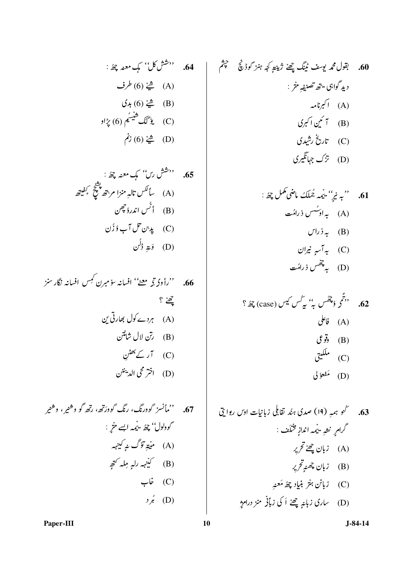65. 
$$
{}^{\prime\prime}\stackrel{\leftrightarrow}{\sim}
$$
  ${}^{\prime\prime}\stackrel{\rightarrow}{\sim}$   ${}^{\prime\prime}\stackrel{\rightarrow}{\sim}$   ${}^{\prime\prime}\stackrel{\rightarrow}{\sim}$   ${}^{\prime\prime}\stackrel{\rightarrow}{\sim}$   $(A)$   $\downarrow^{\prime\prime}\stackrel{\rightarrow}{\sim}$   $(A) \downarrow^{\prime\prime}\stackrel{\rightarrow}{\sim}$   $(B)$   $\downarrow^{\prime\prime}\stackrel{\rightarrow}{\sim}$   $(B)$   $\downarrow^{\prime\prime}\stackrel{\rightarrow}{\sim}$   $(C)$   $\downarrow^{\prime\prime}\stackrel{\rightarrow}{\sim}$   $(C)$   $\downarrow^{\prime\prime}\stackrel{\rightarrow}{\sim}$   $(D)$ 

60. 
$$
\oint g(x) dx
$$
 یویف ٹینگ چھن ژییتیو کچ مینز کوڈی گی جیش  
دیدگواہی شھی تصییمیہش:  
(A) اکہزامہ  
(B) تاریخٔ رشیری  
(C) تزک جہاتگیری

61. "بہ نیز" بیمہ مُمَلک ماضی مَمَل بھئ  
(A) 
$$
= \begin{pmatrix} \sqrt{2} & \sqrt{2} & \sqrt{2} \\ \sqrt{2} & \sqrt{2} & \sqrt{2} \\ \sqrt{2} & \sqrt{2} & \sqrt{2} \\ \sqrt{2} & \sqrt{2} & \sqrt{2} \\ \sqrt{2} & \sqrt{2} & \sqrt{2} \\ \sqrt{2} & \sqrt{2} & \sqrt{2} \\ \sqrt{2} & \sqrt{2} & \sqrt{2} \\ \sqrt{2} & \sqrt{2} & \sqrt{2} \\ \sqrt{2} & \sqrt{2} & \sqrt{2} \\ \sqrt{2} & \sqrt{2} & \sqrt{2} \\ \sqrt{2} & \sqrt{2} & \sqrt{2} \\ \sqrt{2} & \sqrt{2} & \sqrt{2} \\ \sqrt{2} & \sqrt{2} & \sqrt{2} \\ \sqrt{2} & \sqrt{2} & \sqrt{2} \\ \sqrt{2} & \sqrt{2} & \sqrt{2} \\ \sqrt{2} & \sqrt{2} & \sqrt{2} \\ \sqrt{2} & \sqrt{2} & \sqrt{2} \\ \sqrt{2} & \sqrt{2} & \sqrt{2} \\ \sqrt{2} & \sqrt{2} & \sqrt{2} \\ \sqrt{2} & \sqrt{2} & \sqrt{2} \\ \sqrt{2} & \sqrt{2} & \sqrt{2} \\ \sqrt{2} & \sqrt{2} & \sqrt{2} \\ \sqrt{2} & \sqrt{2} & \sqrt{2} \\ \sqrt{2} & \sqrt{2} & \sqrt{2} \\ \sqrt{2} & \sqrt{2} & \sqrt{2} \\ \sqrt{2} & \sqrt{2} & \sqrt{2} \\ \sqrt{2} & \sqrt{2} & \sqrt{2} \\ \sqrt{2} & \sqrt{2} & \sqrt{2} \\ \sqrt{2} & \sqrt{2} & \sqrt{2} \\ \sqrt{2} & \sqrt{2} & \sqrt{2} \\ \sqrt{2} & \sqrt{2} & \sqrt{2} \\ \sqrt{2} & \sqrt{2} & \sqrt{2} \\ \sqrt{2} & \sqrt{2} & \sqrt{2} \\ \sqrt{2} & \sqrt{2} & \sqrt{2} \\ \sqrt{2} & \sqrt{2} & \sqrt{2} \\ \sqrt{2} & \sqrt{2} & \sqrt{2} \\ \sqrt{2} & \sqrt{2} & \sqrt{2} \\ \sqrt{2} & \sqrt{2} & \sqrt{2} \\ \sqrt{2} & \sqrt{2} & \sqrt{2} \\ \sqrt{2} & \sqrt{2} & \sqrt{
$$

62. 
$$
{}^{6}\hat{z}
$$
 (case)  
\n(a)  ${}^{6}\hat{z}$  (a)  
\n(b)  ${}^{6}\hat{y}$  (b)  
\n(c)  ${}^{6}\hat{y}$  (c)  
\n(d)  ${}^{6}\hat{y}$  (e)  
\n(f)  ${}^{6}\hat{y}$  (f)

Paper-III

 $10$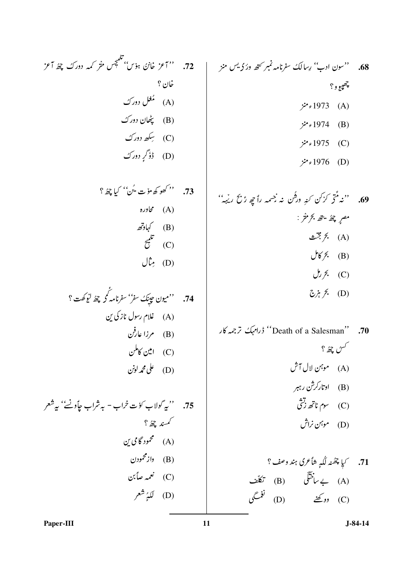(A) مجاوره

(B) کہاوتھ

 $\tilde{\tilde{c}}^{\mu}$  (C)

 $J\stackrel{\star}{\nu}$  (D)

.<br>74. ''ميون حيينَك سفر'' سفرنامه كمحر چھُ ليُوكَفت ؟

75. ''په گولاب کؤت خراب - به شراب چاًوٺُ'' په شعر

(A) غلام رسول نازكى ين

(B) مرزا عارفن

(C) امین کاملن

(D) على محمد لونن

كممند چۇ ؟

(A) محمود گامی <u>بن</u>

(B) دازمحمودن

(C) نعمه صاً بن

(D) لَكَيُرٌ شَعَر

69. 
$$
{}^{6}z^{2}
$$
 (6)  
\n(A)  ${}^{6}z^{3}$  (A)  
\n(B)  ${}^{6}z^{6}$  (B)  
\n(C)  ${}^{7}z^{7}$  (D)  
\n(D)  ${}^{7}z^{7}$  (E)  
\n(E)  ${}^{7}z^{7}$  (E)  
\n(E)  ${}^{7}z^{7}$  (E)  
\n(E)  ${}^{7}z^{7}$  (E)  
\n(E)  ${}^{7}z^{7}$  (E)  
\n(E)  ${}^{7}z^{7}$  (E)

$$
\mathcal{L} \dot{\gamma} \dot{\gamma} \cdot (D)
$$

کسڻ چئ<sup>1</sup>؟ (A) موہن لال آش (B) اوتارکرش رہبر  $\ddot{z}$  ,  $z_{\rm max}$  (C)

(A) بے ساختگی (B) تکلف (C) وو گھنے (D) نغمے

Paper-III

11